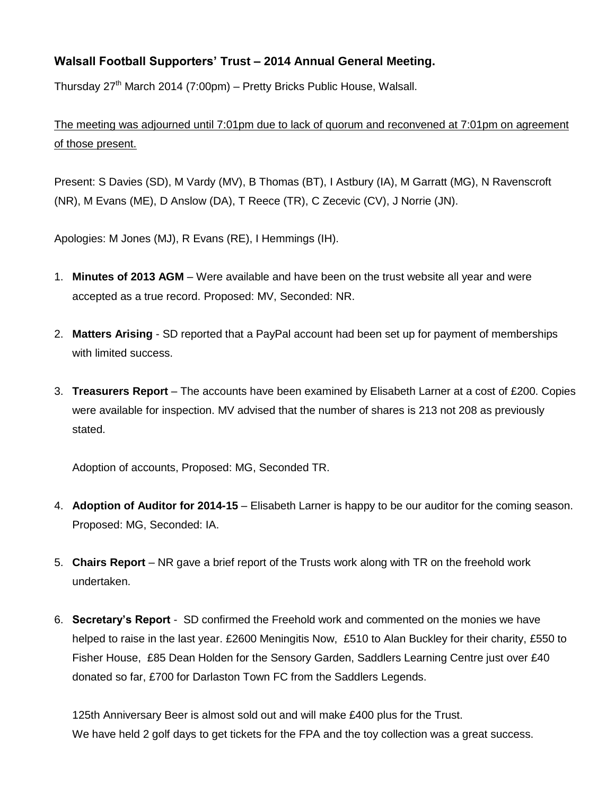## **Walsall Football Supporters' Trust – 2014 Annual General Meeting.**

Thursday 27<sup>th</sup> March 2014 (7:00pm) – Pretty Bricks Public House, Walsall.

The meeting was adjourned until 7:01pm due to lack of quorum and reconvened at 7:01pm on agreement of those present.

Present: S Davies (SD), M Vardy (MV), B Thomas (BT), I Astbury (IA), M Garratt (MG), N Ravenscroft (NR), M Evans (ME), D Anslow (DA), T Reece (TR), C Zecevic (CV), J Norrie (JN).

Apologies: M Jones (MJ), R Evans (RE), I Hemmings (IH).

- 1. **Minutes of 2013 AGM** Were available and have been on the trust website all year and were accepted as a true record. Proposed: MV, Seconded: NR.
- 2. **Matters Arising** SD reported that a PayPal account had been set up for payment of memberships with limited success.
- 3. **Treasurers Report** The accounts have been examined by Elisabeth Larner at a cost of £200. Copies were available for inspection. MV advised that the number of shares is 213 not 208 as previously stated.

Adoption of accounts, Proposed: MG, Seconded TR.

- 4. **Adoption of Auditor for 2014-15** Elisabeth Larner is happy to be our auditor for the coming season. Proposed: MG, Seconded: IA.
- 5. **Chairs Report** NR gave a brief report of the Trusts work along with TR on the freehold work undertaken.
- 6. **Secretary's Report** SD confirmed the Freehold work and commented on the monies we have helped to raise in the last year. £2600 Meningitis Now, £510 to Alan Buckley for their charity, £550 to Fisher House, £85 Dean Holden for the Sensory Garden, Saddlers Learning Centre just over £40 donated so far, £700 for Darlaston Town FC from the Saddlers Legends.

125th Anniversary Beer is almost sold out and will make £400 plus for the Trust. We have held 2 golf days to get tickets for the FPA and the toy collection was a great success.